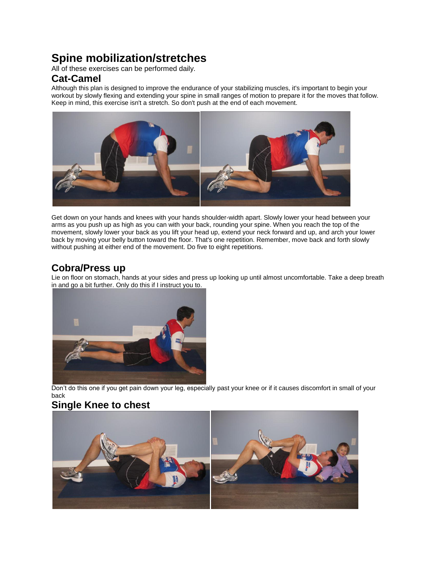# **Spine mobilization/stretches**

All of these exercises can be performed daily.

### **Cat-Camel**

Although this plan is designed to improve the endurance of your stabilizing muscles, it's important to begin your workout by slowly flexing and extending your spine in small ranges of motion to prepare it for the moves that follow. Keep in mind, this exercise isn't a stretch. So don't push at the end of each movement.



Get down on your hands and knees with your hands shoulder-width apart. Slowly lower your head between your arms as you push up as high as you can with your back, rounding your spine. When you reach the top of the movement, slowly lower your back as you lift your head up, extend your neck forward and up, and arch your lower back by moving your belly button toward the floor. That's one repetition. Remember, move back and forth slowly without pushing at either end of the movement. Do five to eight repetitions.

# **Cobra/Press up**

Lie on floor on stomach, hands at your sides and press up looking up until almost uncomfortable. Take a deep breath in and go a bit further. Only do this if I instruct you to.



Don't do this one if you get pain down your leg, especially past your knee or if it causes discomfort in small of your back

## **Single Knee to chest**

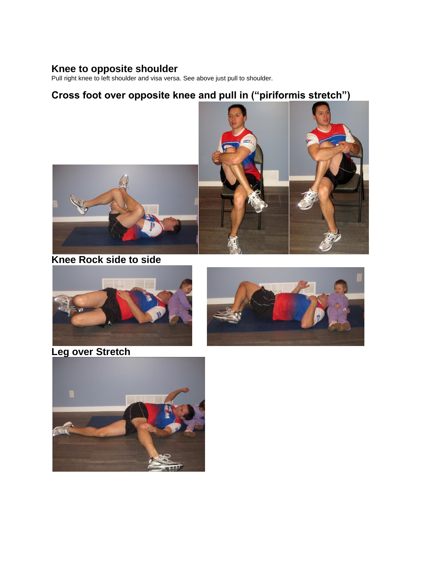### **Knee to opposite shoulder**

Pull right knee to left shoulder and visa versa. See above just pull to shoulder.

# **Cross foot over opposite knee and pull in ("piriformis stretch")**



**Knee Rock side to side**







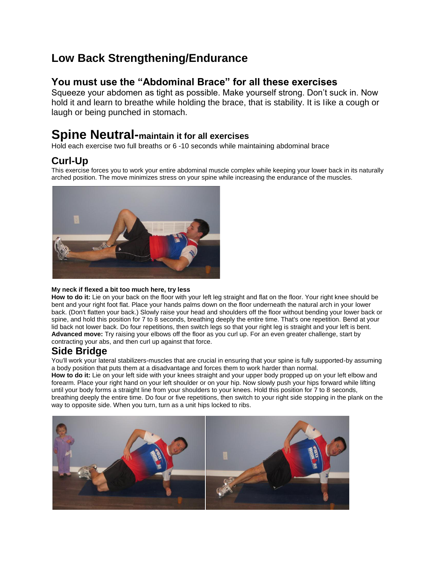# **Low Back Strengthening/Endurance**

### **You must use the "Abdominal Brace" for all these exercises**

Squeeze your abdomen as tight as possible. Make yourself strong. Don't suck in. Now hold it and learn to breathe while holding the brace, that is stability. It is Iike a cough or laugh or being punched in stomach.

# **Spine Neutral-maintain it for all exercises**

Hold each exercise two full breaths or 6 -10 seconds while maintaining abdominal brace

## **Curl-Up**

This exercise forces you to work your entire abdominal muscle complex while keeping your lower back in its naturally arched position. The move minimizes stress on your spine while increasing the endurance of the muscles.



#### **My neck if flexed a bit too much here, try less**

**How to do it:** Lie on your back on the floor with your left leg straight and flat on the floor. Your right knee should be bent and your right foot flat. Place your hands palms down on the floor underneath the natural arch in your lower back. (Don't flatten your back.) Slowly raise your head and shoulders off the floor without bending your lower back or spine, and hold this position for 7 to 8 seconds, breathing deeply the entire time. That's one repetition. Bend at your lid back not lower back. Do four repetitions, then switch legs so that your right leg is straight and your left is bent. **Advanced move:** Try raising your elbows off the floor as you curl up. For an even greater challenge, start by contracting your abs, and then curl up against that force.

### **Side Bridge**

You'll work your lateral stabilizers-muscles that are crucial in ensuring that your spine is fully supported-by assuming a body position that puts them at a disadvantage and forces them to work harder than normal.

**How to do it:** Lie on your left side with your knees straight and your upper body propped up on your left elbow and forearm. Place your right hand on your left shoulder or on your hip. Now slowly push your hips forward while lifting until your body forms a straight line from your shoulders to your knees. Hold this position for 7 to 8 seconds, breathing deeply the entire time. Do four or five repetitions, then switch to your right side stopping in the plank on the way to opposite side. When you turn, turn as a unit hips locked to ribs.

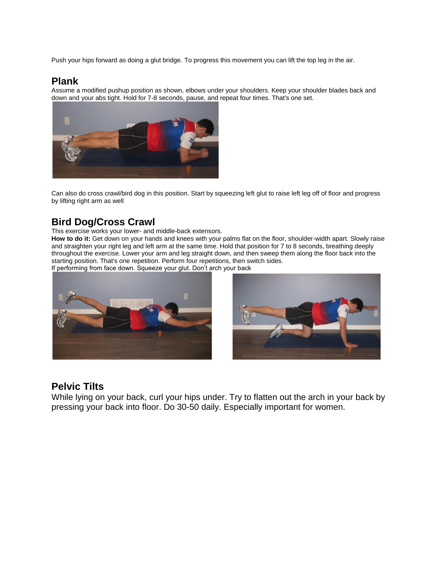Push your hips forward as doing a glut bridge. To progress this movement you can lift the top leg in the air.

### **Plank**

Assume a modified pushup position as shown, elbows under your shoulders. Keep your shoulder blades back and down and your abs tight. Hold for 7-8 seconds, pause, and repeat four times. That's one set.



Can also do cross crawl/bird dog in this position. Start by squeezing left glut to raise left leg off of floor and progress by lifting right arm as well

## **Bird Dog/Cross Crawl**

This exercise works your lower- and middle-back extensors.

**How to do it:** Get down on your hands and knees with your palms flat on the floor, shoulder-width apart. Slowly raise and straighten your right leg and left arm at the same time. Hold that position for 7 to 8 seconds, breathing deeply throughout the exercise. Lower your arm and leg straight down, and then sweep them along the floor back into the starting position. That's one repetition. Perform four repetitions, then switch sides.

If performing from face down. Squeeze your glut. Don't arch your back





### **Pelvic Tilts**

While lying on your back, curl your hips under. Try to flatten out the arch in your back by pressing your back into floor. Do 30-50 daily. Especially important for women.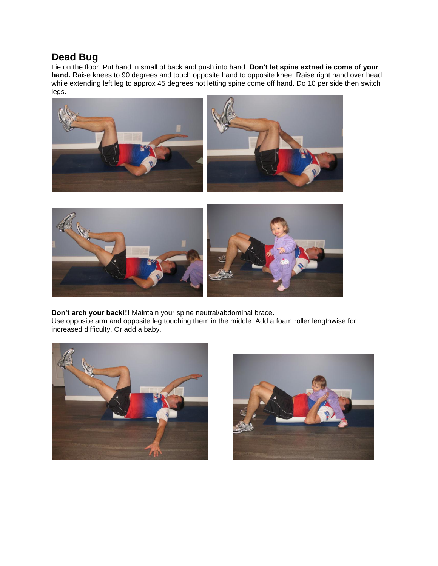### **Dead Bug**

Lie on the floor. Put hand in small of back and push into hand. **Don't let spine extned ie come of your hand.** Raise knees to 90 degrees and touch opposite hand to opposite knee. Raise right hand over head while extending left leg to approx 45 degrees not letting spine come off hand. Do 10 per side then switch legs.





**Don't arch your back!!!** Maintain your spine neutral/abdominal brace. Use opposite arm and opposite leg touching them in the middle. Add a foam roller lengthwise for increased difficulty. Or add a baby.



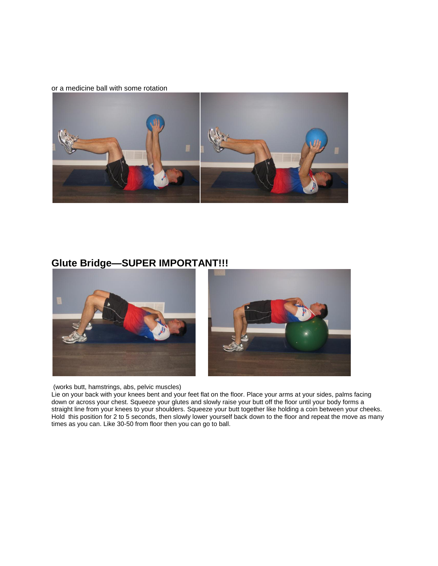#### or a medicine ball with some rotation



## **Glute Bridge—SUPER IMPORTANT!!!**



(works butt, hamstrings, abs, pelvic muscles)

Lie on your back with your knees bent and your feet flat on the floor. Place your arms at your sides, palms facing down or across your chest. Squeeze your glutes and slowly raise your butt off the floor until your body forms a straight line from your knees to your shoulders. Squeeze your butt together like holding a coin between your cheeks. Hold this position for 2 to 5 seconds, then slowly lower yourself back down to the floor and repeat the move as many times as you can. Like 30-50 from floor then you can go to ball.